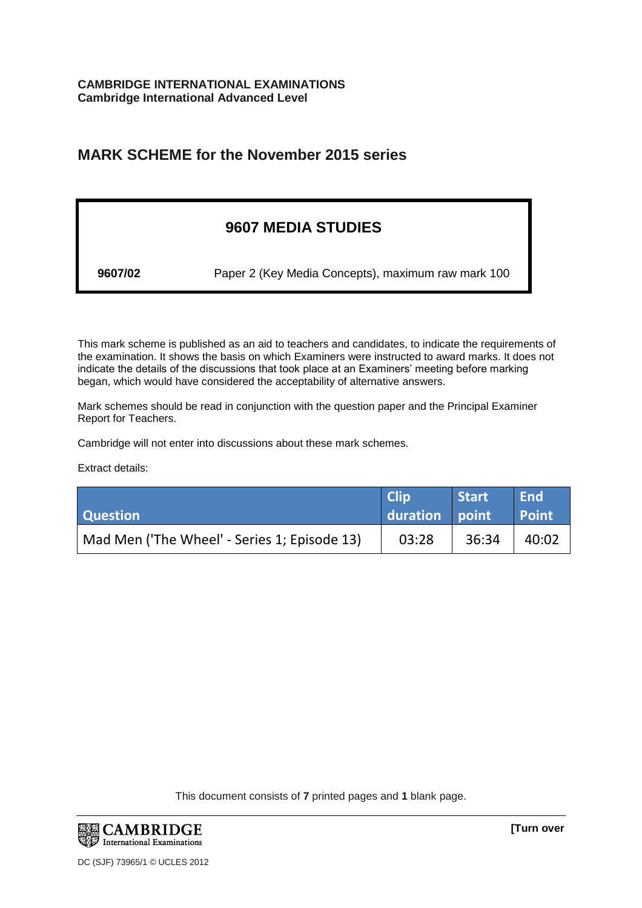# **MARK SCHEME for the November 2015 series**

# **9607 MEDIA STUDIES**

**9607/02** Paper 2 (Key Media Concepts), maximum raw mark 100

This mark scheme is published as an aid to teachers and candidates, to indicate the requirements of the examination. It shows the basis on which Examiners were instructed to award marks. It does not indicate the details of the discussions that took place at an Examiners' meeting before marking began, which would have considered the acceptability of alternative answers.

Mark schemes should be read in conjunction with the question paper and the Principal Examiner Report for Teachers.

Cambridge will not enter into discussions about these mark schemes.

Extract details:

| <b>Question</b>                              | <b>Clip</b><br>duration point | Start | <b>End</b><br><b>Point</b> |
|----------------------------------------------|-------------------------------|-------|----------------------------|
| Mad Men ('The Wheel' - Series 1; Episode 13) | 03:28                         | 36:34 | 40:02                      |

This document consists of **7** printed pages and **1** blank page.

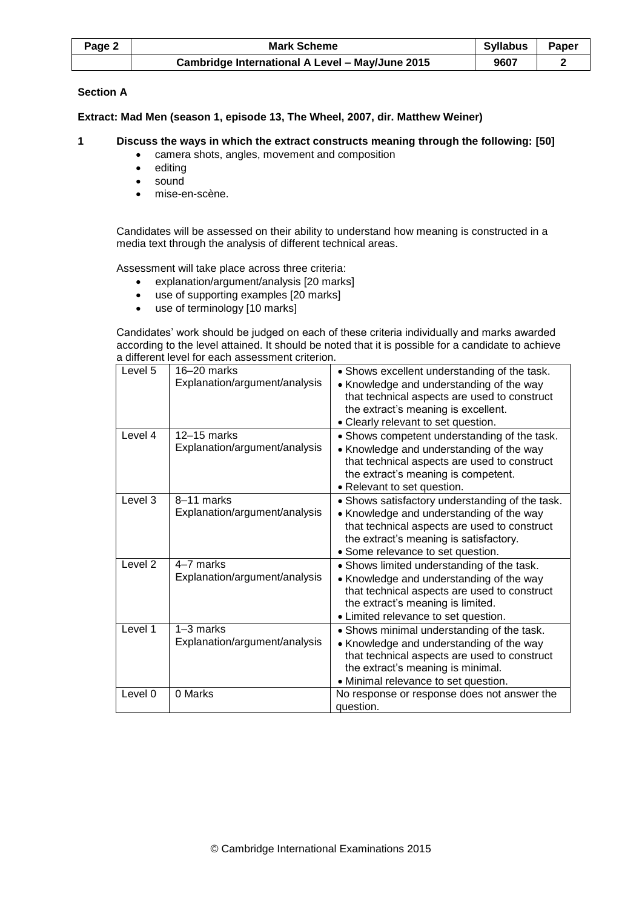| Page 2 | Syllabus<br><b>Mark Scheme</b>                  |      | Paper |
|--------|-------------------------------------------------|------|-------|
|        | Cambridge International A Level - May/June 2015 | 9607 |       |

# **Section A**

**Extract: Mad Men (season 1, episode 13, The Wheel, 2007, dir. Matthew Weiner)**

# **1 Discuss the ways in which the extract constructs meaning through the following: [50]**

- camera shots, angles, movement and composition
- editing
- sound
- mise-en-scène.

Candidates will be assessed on their ability to understand how meaning is constructed in a media text through the analysis of different technical areas.

Assessment will take place across three criteria:

- explanation/argument/analysis [20 marks]
- use of supporting examples [20 marks]
- use of terminology [10 marks]

Candidates' work should be judged on each of these criteria individually and marks awarded according to the level attained. It should be noted that it is possible for a candidate to achieve a different level for each assessment criterion.

| Level 5 | $16 - 20$ marks<br>Explanation/argument/analysis | • Shows excellent understanding of the task.<br>• Knowledge and understanding of the way<br>that technical aspects are used to construct<br>the extract's meaning is excellent.<br>• Clearly relevant to set question.     |
|---------|--------------------------------------------------|----------------------------------------------------------------------------------------------------------------------------------------------------------------------------------------------------------------------------|
| Level 4 | $12-15$ marks<br>Explanation/argument/analysis   | • Shows competent understanding of the task.<br>• Knowledge and understanding of the way<br>that technical aspects are used to construct<br>the extract's meaning is competent.<br>• Relevant to set question.             |
| Level 3 | 8-11 marks<br>Explanation/argument/analysis      | • Shows satisfactory understanding of the task.<br>• Knowledge and understanding of the way<br>that technical aspects are used to construct<br>the extract's meaning is satisfactory.<br>· Some relevance to set question. |
| Level 2 | 4-7 marks<br>Explanation/argument/analysis       | • Shows limited understanding of the task.<br>• Knowledge and understanding of the way<br>that technical aspects are used to construct<br>the extract's meaning is limited.<br>• Limited relevance to set question.        |
| Level 1 | $1-3$ marks<br>Explanation/argument/analysis     | • Shows minimal understanding of the task.<br>• Knowledge and understanding of the way<br>that technical aspects are used to construct<br>the extract's meaning is minimal.<br>· Minimal relevance to set question.        |
| Level 0 | 0 Marks                                          | No response or response does not answer the<br>question.                                                                                                                                                                   |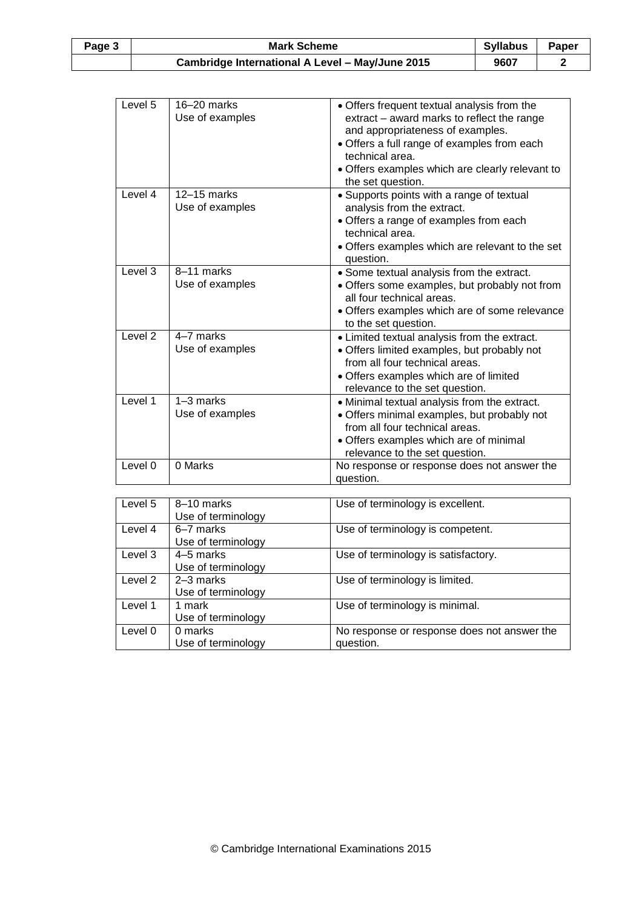| Page 3 | <b>Syllabus</b><br><b>Mark Scheme</b>           |      | Paper |
|--------|-------------------------------------------------|------|-------|
|        | Cambridge International A Level - May/June 2015 | 9607 |       |

| Level 5            | $16-20$ marks<br>Use of examples | • Offers frequent textual analysis from the<br>extract – award marks to reflect the range<br>and appropriateness of examples.<br>• Offers a full range of examples from each<br>technical area.<br>• Offers examples which are clearly relevant to<br>the set question. |
|--------------------|----------------------------------|-------------------------------------------------------------------------------------------------------------------------------------------------------------------------------------------------------------------------------------------------------------------------|
| Level 4            | 12-15 marks<br>Use of examples   | • Supports points with a range of textual<br>analysis from the extract.<br>• Offers a range of examples from each<br>technical area<br>• Offers examples which are relevant to the set<br>question.                                                                     |
| Level 3            | 8-11 marks<br>Use of examples    | • Some textual analysis from the extract.<br>• Offers some examples, but probably not from<br>all four technical areas.<br>• Offers examples which are of some relevance<br>to the set question.                                                                        |
| Level <sub>2</sub> | 4-7 marks<br>Use of examples     | • Limited textual analysis from the extract.<br>· Offers limited examples, but probably not<br>from all four technical areas.<br>• Offers examples which are of limited<br>relevance to the set question.                                                               |
| Level 1            | 1-3 marks<br>Use of examples     | • Minimal textual analysis from the extract.<br>· Offers minimal examples, but probably not<br>from all four technical areas.<br>• Offers examples which are of minimal<br>relevance to the set question.                                                               |
| Level 0            | 0 Marks                          | No response or response does not answer the<br>question.                                                                                                                                                                                                                |

| Level 5 | 8-10 marks<br>Use of terminology | Use of terminology is excellent.                         |
|---------|----------------------------------|----------------------------------------------------------|
| Level 4 | 6–7 marks<br>Use of terminology  | Use of terminology is competent.                         |
| Level 3 | 4–5 marks<br>Use of terminology  | Use of terminology is satisfactory.                      |
| Level 2 | 2–3 marks<br>Use of terminology  | Use of terminology is limited.                           |
| Level 1 | 1 mark<br>Use of terminology     | Use of terminology is minimal.                           |
| Level 0 | 0 marks<br>Use of terminology    | No response or response does not answer the<br>question. |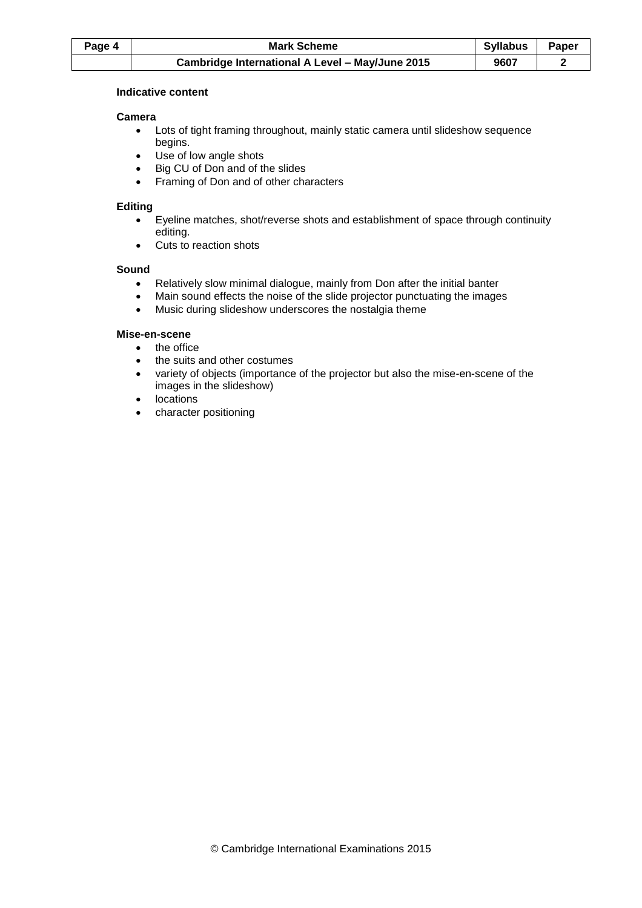| Page 4 | Syllabus<br><b>Mark Scheme</b>                  |      | Paper |
|--------|-------------------------------------------------|------|-------|
|        | Cambridge International A Level - May/June 2015 | 9607 |       |

# **Indicative content**

# **Camera**

- Lots of tight framing throughout, mainly static camera until slideshow sequence begins.
- Use of low angle shots
- Big CU of Don and of the slides
- Framing of Don and of other characters

# **Editing**

- Eyeline matches, shot/reverse shots and establishment of space through continuity editing.
- Cuts to reaction shots

#### **Sound**

- Relatively slow minimal dialogue, mainly from Don after the initial banter
- Main sound effects the noise of the slide projector punctuating the images
- Music during slideshow underscores the nostalgia theme

# **Mise-en-scene**

- the office
- the suits and other costumes
- variety of objects (importance of the projector but also the mise-en-scene of the images in the slideshow)
- locations
- character positioning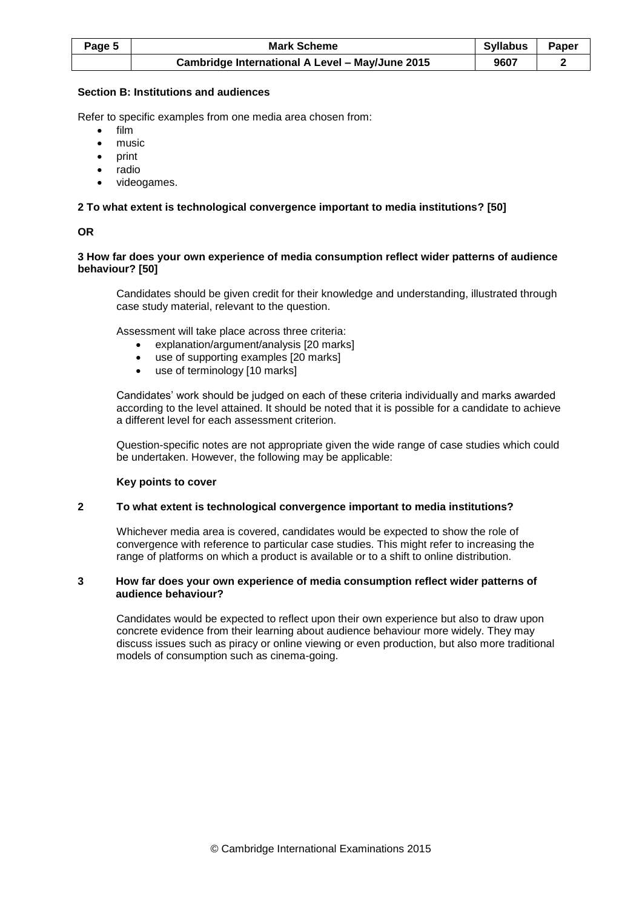| Page 5 | Syllabus<br><b>Mark Scheme</b>                  |      | Paper |
|--------|-------------------------------------------------|------|-------|
|        | Cambridge International A Level - May/June 2015 | 9607 |       |

### **Section B: Institutions and audiences**

Refer to specific examples from one media area chosen from:

- $\bullet$  film
- music
- print
- radio
- videogames.

# **2 To what extent is technological convergence important to media institutions? [50]**

#### **OR**

#### **3 How far does your own experience of media consumption reflect wider patterns of audience behaviour? [50]**

Candidates should be given credit for their knowledge and understanding, illustrated through case study material, relevant to the question.

Assessment will take place across three criteria:

- explanation/argument/analysis [20 marks]
- use of supporting examples [20 marks]
- use of terminology [10 marks]

Candidates' work should be judged on each of these criteria individually and marks awarded according to the level attained. It should be noted that it is possible for a candidate to achieve a different level for each assessment criterion.

Question-specific notes are not appropriate given the wide range of case studies which could be undertaken. However, the following may be applicable:

#### **Key points to cover**

#### **2 To what extent is technological convergence important to media institutions?**

Whichever media area is covered, candidates would be expected to show the role of convergence with reference to particular case studies. This might refer to increasing the range of platforms on which a product is available or to a shift to online distribution.

#### **3 How far does your own experience of media consumption reflect wider patterns of audience behaviour?**

Candidates would be expected to reflect upon their own experience but also to draw upon concrete evidence from their learning about audience behaviour more widely. They may discuss issues such as piracy or online viewing or even production, but also more traditional models of consumption such as cinema-going.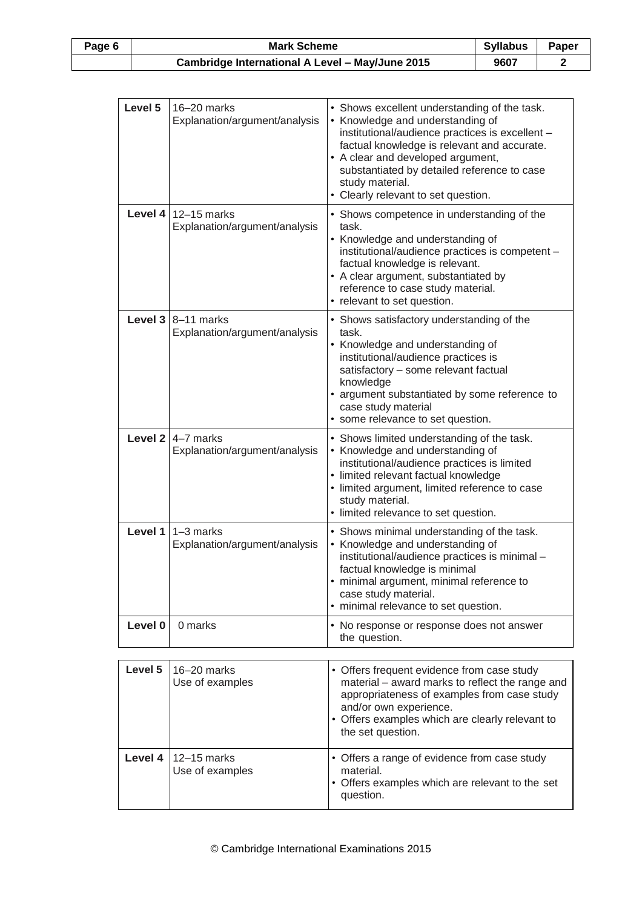| Page 6 | <b>Syllabus</b><br><b>Mark Scheme</b>           |      | Paper |
|--------|-------------------------------------------------|------|-------|
|        | Cambridge International A Level - May/June 2015 | 9607 |       |

| Level 5 | $16 - 20$ marks<br>Explanation/argument/analysis                        | • Shows excellent understanding of the task.<br>• Knowledge and understanding of<br>institutional/audience practices is excellent -<br>factual knowledge is relevant and accurate.<br>• A clear and developed argument,<br>substantiated by detailed reference to case<br>study material.<br>• Clearly relevant to set question. |
|---------|-------------------------------------------------------------------------|----------------------------------------------------------------------------------------------------------------------------------------------------------------------------------------------------------------------------------------------------------------------------------------------------------------------------------|
|         | Level $4$ 12-15 marks<br>Explanation/argument/analysis                  | • Shows competence in understanding of the<br>task.<br>• Knowledge and understanding of<br>institutional/audience practices is competent -<br>factual knowledge is relevant.<br>• A clear argument, substantiated by<br>reference to case study material.<br>• relevant to set question.                                         |
|         | <b>Level 3 <math>8-11</math> marks</b><br>Explanation/argument/analysis | • Shows satisfactory understanding of the<br>task.<br>• Knowledge and understanding of<br>institutional/audience practices is<br>satisfactory - some relevant factual<br>knowledge<br>• argument substantiated by some reference to<br>case study material<br>• some relevance to set question.                                  |
|         | <b>Level 2</b> $\sqrt{4-7}$ marks<br>Explanation/argument/analysis      | • Shows limited understanding of the task.<br>• Knowledge and understanding of<br>institutional/audience practices is limited<br>· limited relevant factual knowledge<br>• limited argument, limited reference to case<br>study material.<br>· limited relevance to set question.                                                |
| Level 1 | $1-3$ marks<br>Explanation/argument/analysis                            | • Shows minimal understanding of the task.<br>• Knowledge and understanding of<br>institutional/audience practices is minimal -<br>factual knowledge is minimal<br>· minimal argument, minimal reference to<br>case study material.<br>• minimal relevance to set question.                                                      |
| Level 0 | 0 marks                                                                 | • No response or response does not answer<br>the question.                                                                                                                                                                                                                                                                       |

| Level 5 | $16 - 20$ marks<br>Use of examples         | • Offers frequent evidence from case study<br>material - award marks to reflect the range and<br>appropriateness of examples from case study<br>and/or own experience.<br>• Offers examples which are clearly relevant to<br>the set question. |
|---------|--------------------------------------------|------------------------------------------------------------------------------------------------------------------------------------------------------------------------------------------------------------------------------------------------|
|         | Level 4   $12-15$ marks<br>Use of examples | • Offers a range of evidence from case study<br>material.<br>• Offers examples which are relevant to the set<br>question.                                                                                                                      |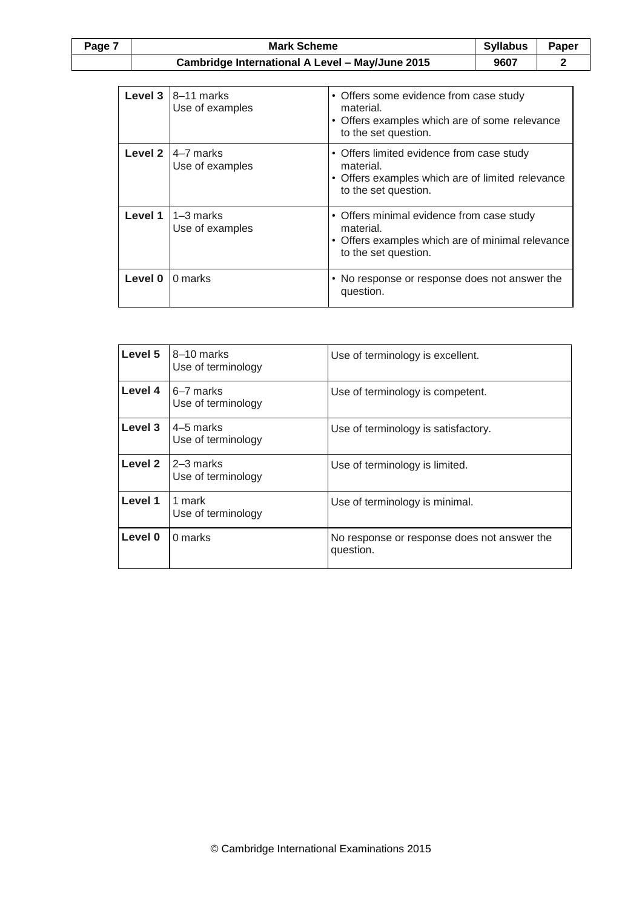| Page 7 | Syllabus<br><b>Mark Scheme</b>                  |      | Paper |
|--------|-------------------------------------------------|------|-------|
|        | Cambridge International A Level - May/June 2015 | 9607 |       |

|         | Level $3 \mid 8-11$ marks<br>Use of examples | • Offers some evidence from case study<br>material.<br>• Offers examples which are of some relevance<br>to the set question.       |
|---------|----------------------------------------------|------------------------------------------------------------------------------------------------------------------------------------|
| Level 2 | 4-7 marks<br>Use of examples                 | • Offers limited evidence from case study<br>material.<br>• Offers examples which are of limited relevance<br>to the set question. |
| Level 1 | $1-3$ marks<br>Use of examples               | • Offers minimal evidence from case study<br>material.<br>• Offers examples which are of minimal relevance<br>to the set question. |
| Level 0 | 0 marks                                      | • No response or response does not answer the<br>question.                                                                         |

| Level 5 | 8-10 marks<br>Use of terminology | Use of terminology is excellent.                         |  |
|---------|----------------------------------|----------------------------------------------------------|--|
| Level 4 | 6–7 marks<br>Use of terminology  | Use of terminology is competent.                         |  |
| Level 3 | 4–5 marks<br>Use of terminology  | Use of terminology is satisfactory.                      |  |
| Level 2 | 2–3 marks<br>Use of terminology  | Use of terminology is limited.                           |  |
| Level 1 | 1 mark<br>Use of terminology     | Use of terminology is minimal.                           |  |
| Level 0 | 0 marks                          | No response or response does not answer the<br>question. |  |